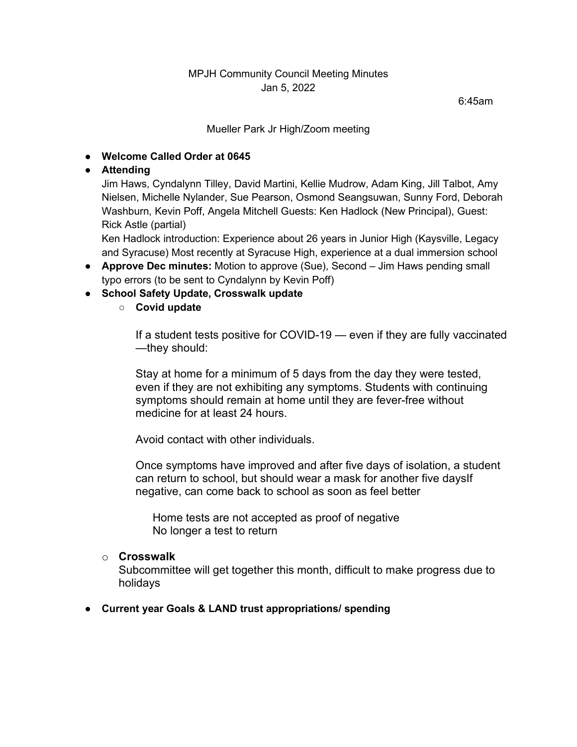## MPJH Community Council Meeting Minutes Jan 5, 2022

6:45am

#### Mueller Park Jr High/Zoom meeting

# ● **Welcome Called Order at 0645**

## ● **Attending**

Jim Haws, Cyndalynn Tilley, David Martini, Kellie Mudrow, Adam King, Jill Talbot, Amy Nielsen, Michelle Nylander, Sue Pearson, Osmond Seangsuwan, Sunny Ford, Deborah Washburn, Kevin Poff, Angela Mitchell Guests: Ken Hadlock (New Principal), Guest: Rick Astle (partial)

Ken Hadlock introduction: Experience about 26 years in Junior High (Kaysville, Legacy and Syracuse) Most recently at Syracuse High, experience at a dual immersion school

- **Approve Dec minutes:** Motion to approve (Sue), Second Jim Haws pending small typo errors (to be sent to Cyndalynn by Kevin Poff)
- **School Safety Update, Crosswalk update**
	- **Covid update**

If a student tests positive for COVID-19 — even if they are fully vaccinated —they should:

Stay at home for a minimum of 5 days from the day they were tested, even if they are not exhibiting any symptoms. Students with continuing symptoms should remain at home until they are fever-free without medicine for at least 24 hours.

Avoid contact with other individuals.

Once symptoms have improved and after five days of isolation, a student can return to school, but should wear a mask for another five daysIf negative, can come back to school as soon as feel better

Home tests are not accepted as proof of negative No longer a test to return

#### o **Crosswalk**

Subcommittee will get together this month, difficult to make progress due to holidays

#### ● **Current year Goals & LAND trust appropriations/ spending**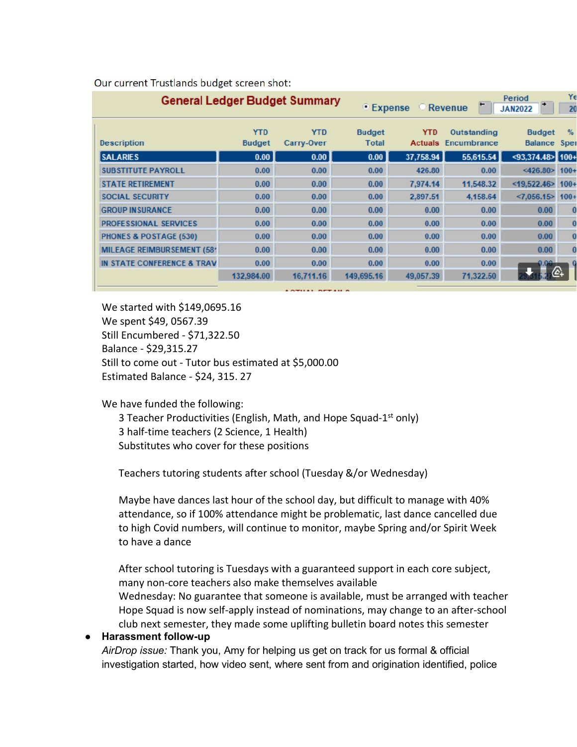| <b>General Ledger Budget Summary</b>  |                             |                          |                        | Yε<br>Period<br><b>Revenue</b><br>• Expense<br><b>JAN2022</b><br>20 |                            |                                 |                       |
|---------------------------------------|-----------------------------|--------------------------|------------------------|---------------------------------------------------------------------|----------------------------|---------------------------------|-----------------------|
| <b>Description</b>                    | <b>YTD</b><br><b>Budget</b> | <b>YTD</b><br>Carry-Over | <b>Budget</b><br>Total | <b>YTD</b><br><b>Actuals</b>                                        | Outstanding<br>Encumbrance | <b>Budget</b><br><b>Balance</b> | $\frac{9}{6}$<br>Sper |
| <b>SALARIES</b>                       | 0.00                        | 0.00                     | 0.00                   | 37,758.94                                                           | 55,615.54                  | $<$ 93,374.48> 100+             |                       |
| <b>SUBSTITUTE PAYROLL</b>             | 0.00                        | 0.00                     | 0.00                   | 426.80                                                              | 0.00                       | <426.80>                        | $100 +$               |
| <b>STATE RETIREMENT</b>               | 0.00                        | 0.00                     | 0.00                   | 7.974.14                                                            | 11,548.32                  | $<$ 19,522.46>                  | $100 +$               |
| <b>SOCIAL SECURITY</b>                | 0.00                        | 0.00                     | 0.00                   | 2,897.51                                                            | 4,158.64                   | <7,056.15                       | $100 +$               |
| <b>GROUP IN SURANCE</b>               | 0.00                        | 0.00                     | 0.00                   | 0.00                                                                | 0.00                       | 0.00                            | O                     |
| <b>PROFESSIONAL SERVICES</b>          | 0.00                        | 0.00                     | 0.00                   | 0.00                                                                | 0.00                       | 0.00                            | O                     |
| <b>PHONES &amp; POSTAGE (530)</b>     | 0.00                        | 0.00                     | 0.00                   | 0.00                                                                | 0.00                       | 0.00                            | O                     |
| <b>MILEAGE REIMBURSEMENT (581</b>     | 0.00                        | 0.00                     | 0.00                   | 0.00                                                                | 0.00                       | 0.00                            |                       |
| <b>IN STATE CONFERENCE &amp; TRAV</b> | 0.00                        | 0.00                     | 0.00                   | 0.00                                                                | 0.00                       | 0.00                            |                       |
|                                       | 132,984.00                  | 16,711.16                | 149,695.16             | 49,057.39                                                           | 71,322.50                  |                                 |                       |

Our current Trustlands budget screen shot:

We started with \$149,0695.16 We spent \$49, 0567.39 Still Encumbered - \$71,322.50 Balance - \$29,315.27 Still to come out - Tutor bus estimated at \$5,000.00 Estimated Balance - \$24, 315. 27

We have funded the following:

3 Teacher Productivities (English, Math, and Hope Squad-1<sup>st</sup> only) 3 half-time teachers (2 Science, 1 Health) Substitutes who cover for these positions

Teachers tutoring students after school (Tuesday &/or Wednesday)

Maybe have dances last hour of the school day, but difficult to manage with 40% attendance, so if 100% attendance might be problematic, last dance cancelled due to high Covid numbers, will continue to monitor, maybe Spring and/or Spirit Week to have a dance

After school tutoring is Tuesdays with a guaranteed support in each core subject, many non-core teachers also make themselves available Wednesday: No guarantee that someone is available, must be arranged with teacher Hope Squad is now self-apply instead of nominations, may change to an after-school club next semester, they made some uplifting bulletin board notes this semester

#### ● **Harassment follow-up**

*AirDrop issue:* Thank you, Amy for helping us get on track for us formal & official investigation started, how video sent, where sent from and origination identified, police